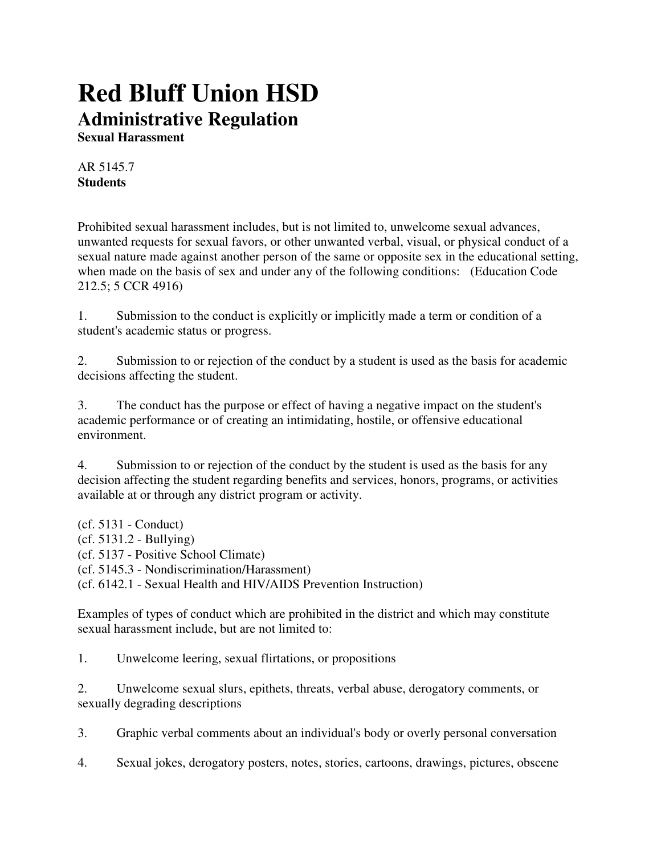## **Red Bluff Union HSD Administrative Regulation**

**Sexual Harassment**

AR 5145.7 **Students**

Prohibited sexual harassment includes, but is not limited to, unwelcome sexual advances, unwanted requests for sexual favors, or other unwanted verbal, visual, or physical conduct of a sexual nature made against another person of the same or opposite sex in the educational setting, when made on the basis of sex and under any of the following conditions: (Education Code 212.5; 5 CCR 4916)

1. Submission to the conduct is explicitly or implicitly made a term or condition of a student's academic status or progress.

2. Submission to or rejection of the conduct by a student is used as the basis for academic decisions affecting the student.

3. The conduct has the purpose or effect of having a negative impact on the student's academic performance or of creating an intimidating, hostile, or offensive educational environment.

4. Submission to or rejection of the conduct by the student is used as the basis for any decision affecting the student regarding benefits and services, honors, programs, or activities available at or through any district program or activity.

(cf. 5131 - Conduct) (cf. 5131.2 - Bullying) (cf. 5137 - Positive School Climate) (cf. 5145.3 - Nondiscrimination/Harassment) (cf. 6142.1 - Sexual Health and HIV/AIDS Prevention Instruction)

Examples of types of conduct which are prohibited in the district and which may constitute sexual harassment include, but are not limited to:

1. Unwelcome leering, sexual flirtations, or propositions

2. Unwelcome sexual slurs, epithets, threats, verbal abuse, derogatory comments, or sexually degrading descriptions

3. Graphic verbal comments about an individual's body or overly personal conversation

4. Sexual jokes, derogatory posters, notes, stories, cartoons, drawings, pictures, obscene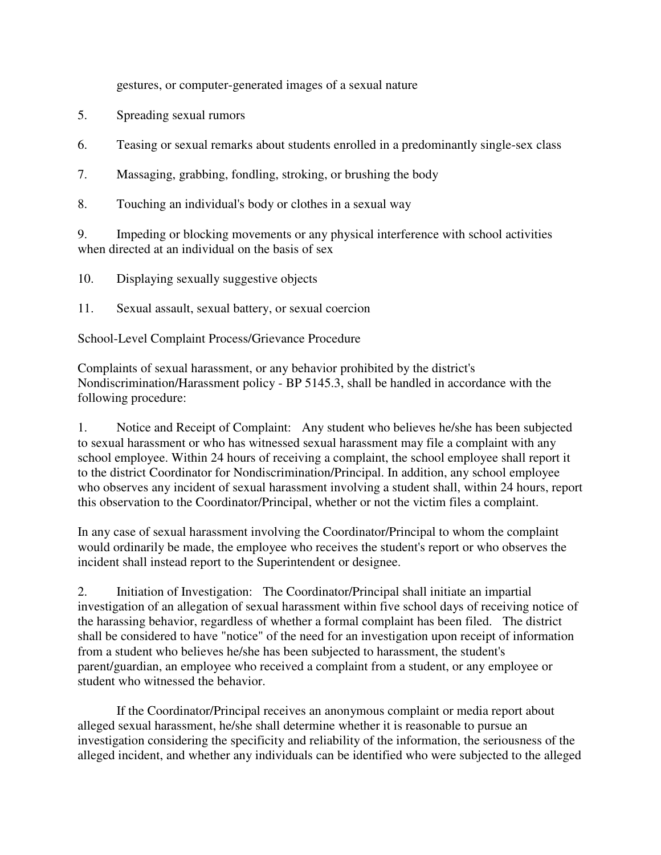gestures, or computer-generated images of a sexual nature

- 5. Spreading sexual rumors
- 6. Teasing or sexual remarks about students enrolled in a predominantly single-sex class
- 7. Massaging, grabbing, fondling, stroking, or brushing the body
- 8. Touching an individual's body or clothes in a sexual way

9. Impeding or blocking movements or any physical interference with school activities when directed at an individual on the basis of sex

- 10. Displaying sexually suggestive objects
- 11. Sexual assault, sexual battery, or sexual coercion

School-Level Complaint Process/Grievance Procedure

Complaints of sexual harassment, or any behavior prohibited by the district's Nondiscrimination/Harassment policy - BP 5145.3, shall be handled in accordance with the following procedure:

1. Notice and Receipt of Complaint: Any student who believes he/she has been subjected to sexual harassment or who has witnessed sexual harassment may file a complaint with any school employee. Within 24 hours of receiving a complaint, the school employee shall report it to the district Coordinator for Nondiscrimination/Principal. In addition, any school employee who observes any incident of sexual harassment involving a student shall, within 24 hours, report this observation to the Coordinator/Principal, whether or not the victim files a complaint.

In any case of sexual harassment involving the Coordinator/Principal to whom the complaint would ordinarily be made, the employee who receives the student's report or who observes the incident shall instead report to the Superintendent or designee.

2. Initiation of Investigation: The Coordinator/Principal shall initiate an impartial investigation of an allegation of sexual harassment within five school days of receiving notice of the harassing behavior, regardless of whether a formal complaint has been filed. The district shall be considered to have "notice" of the need for an investigation upon receipt of information from a student who believes he/she has been subjected to harassment, the student's parent/guardian, an employee who received a complaint from a student, or any employee or student who witnessed the behavior.

 If the Coordinator/Principal receives an anonymous complaint or media report about alleged sexual harassment, he/she shall determine whether it is reasonable to pursue an investigation considering the specificity and reliability of the information, the seriousness of the alleged incident, and whether any individuals can be identified who were subjected to the alleged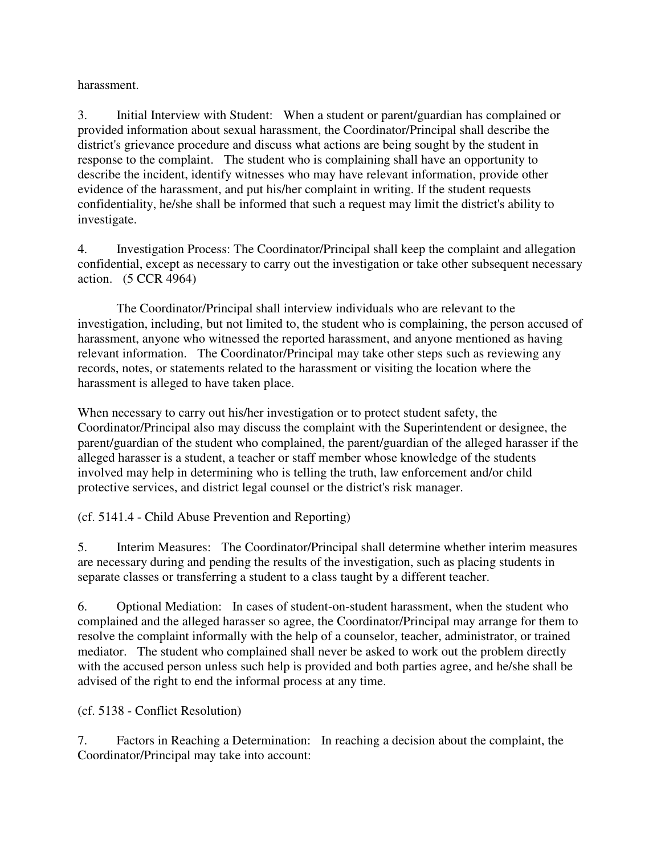harassment.

3. Initial Interview with Student: When a student or parent/guardian has complained or provided information about sexual harassment, the Coordinator/Principal shall describe the district's grievance procedure and discuss what actions are being sought by the student in response to the complaint. The student who is complaining shall have an opportunity to describe the incident, identify witnesses who may have relevant information, provide other evidence of the harassment, and put his/her complaint in writing. If the student requests confidentiality, he/she shall be informed that such a request may limit the district's ability to investigate.

4. Investigation Process: The Coordinator/Principal shall keep the complaint and allegation confidential, except as necessary to carry out the investigation or take other subsequent necessary action. (5 CCR 4964)

 The Coordinator/Principal shall interview individuals who are relevant to the investigation, including, but not limited to, the student who is complaining, the person accused of harassment, anyone who witnessed the reported harassment, and anyone mentioned as having relevant information. The Coordinator/Principal may take other steps such as reviewing any records, notes, or statements related to the harassment or visiting the location where the harassment is alleged to have taken place.

When necessary to carry out his/her investigation or to protect student safety, the Coordinator/Principal also may discuss the complaint with the Superintendent or designee, the parent/guardian of the student who complained, the parent/guardian of the alleged harasser if the alleged harasser is a student, a teacher or staff member whose knowledge of the students involved may help in determining who is telling the truth, law enforcement and/or child protective services, and district legal counsel or the district's risk manager.

(cf. 5141.4 - Child Abuse Prevention and Reporting)

5. Interim Measures: The Coordinator/Principal shall determine whether interim measures are necessary during and pending the results of the investigation, such as placing students in separate classes or transferring a student to a class taught by a different teacher.

6. Optional Mediation: In cases of student-on-student harassment, when the student who complained and the alleged harasser so agree, the Coordinator/Principal may arrange for them to resolve the complaint informally with the help of a counselor, teacher, administrator, or trained mediator. The student who complained shall never be asked to work out the problem directly with the accused person unless such help is provided and both parties agree, and he/she shall be advised of the right to end the informal process at any time.

(cf. 5138 - Conflict Resolution)

7. Factors in Reaching a Determination: In reaching a decision about the complaint, the Coordinator/Principal may take into account: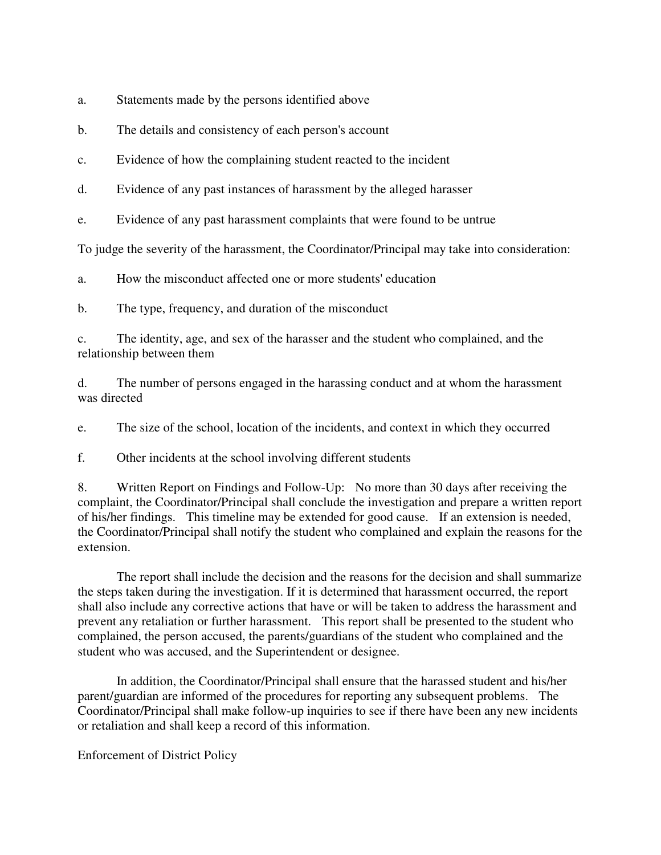a. Statements made by the persons identified above

b. The details and consistency of each person's account

c. Evidence of how the complaining student reacted to the incident

d. Evidence of any past instances of harassment by the alleged harasser

e. Evidence of any past harassment complaints that were found to be untrue

To judge the severity of the harassment, the Coordinator/Principal may take into consideration:

a. How the misconduct affected one or more students' education

b. The type, frequency, and duration of the misconduct

c. The identity, age, and sex of the harasser and the student who complained, and the relationship between them

d. The number of persons engaged in the harassing conduct and at whom the harassment was directed

e. The size of the school, location of the incidents, and context in which they occurred

f. Other incidents at the school involving different students

8. Written Report on Findings and Follow-Up: No more than 30 days after receiving the complaint, the Coordinator/Principal shall conclude the investigation and prepare a written report of his/her findings. This timeline may be extended for good cause. If an extension is needed, the Coordinator/Principal shall notify the student who complained and explain the reasons for the extension.

 The report shall include the decision and the reasons for the decision and shall summarize the steps taken during the investigation. If it is determined that harassment occurred, the report shall also include any corrective actions that have or will be taken to address the harassment and prevent any retaliation or further harassment. This report shall be presented to the student who complained, the person accused, the parents/guardians of the student who complained and the student who was accused, and the Superintendent or designee.

 In addition, the Coordinator/Principal shall ensure that the harassed student and his/her parent/guardian are informed of the procedures for reporting any subsequent problems. The Coordinator/Principal shall make follow-up inquiries to see if there have been any new incidents or retaliation and shall keep a record of this information.

Enforcement of District Policy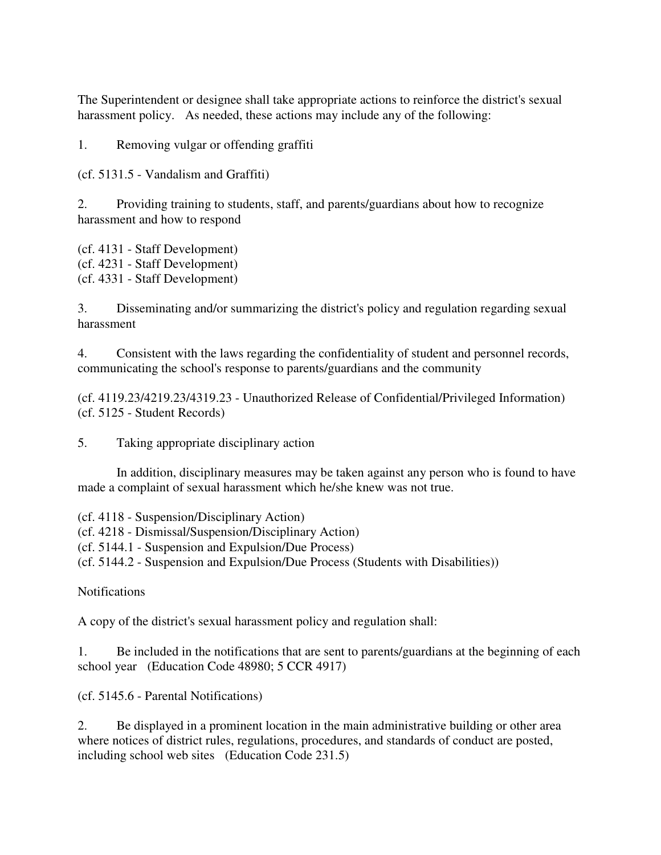The Superintendent or designee shall take appropriate actions to reinforce the district's sexual harassment policy. As needed, these actions may include any of the following:

1. Removing vulgar or offending graffiti

(cf. 5131.5 - Vandalism and Graffiti)

2. Providing training to students, staff, and parents/guardians about how to recognize harassment and how to respond

(cf. 4131 - Staff Development) (cf. 4231 - Staff Development) (cf. 4331 - Staff Development)

3. Disseminating and/or summarizing the district's policy and regulation regarding sexual harassment

4. Consistent with the laws regarding the confidentiality of student and personnel records, communicating the school's response to parents/guardians and the community

(cf. 4119.23/4219.23/4319.23 - Unauthorized Release of Confidential/Privileged Information) (cf. 5125 - Student Records)

5. Taking appropriate disciplinary action

 In addition, disciplinary measures may be taken against any person who is found to have made a complaint of sexual harassment which he/she knew was not true.

(cf. 4118 - Suspension/Disciplinary Action)

(cf. 4218 - Dismissal/Suspension/Disciplinary Action)

(cf. 5144.1 - Suspension and Expulsion/Due Process)

(cf. 5144.2 - Suspension and Expulsion/Due Process (Students with Disabilities))

**Notifications** 

A copy of the district's sexual harassment policy and regulation shall:

1. Be included in the notifications that are sent to parents/guardians at the beginning of each school year (Education Code 48980; 5 CCR 4917)

(cf. 5145.6 - Parental Notifications)

2. Be displayed in a prominent location in the main administrative building or other area where notices of district rules, regulations, procedures, and standards of conduct are posted, including school web sites (Education Code 231.5)